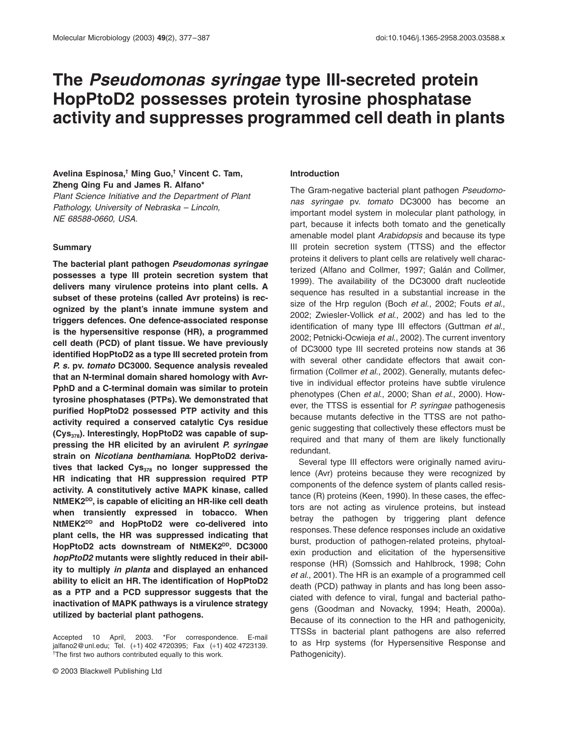# **The** *Pseudomonas syringae* **type III-secreted protein HopPtoD2 possesses protein tyrosine phosphatase activity and suppresses programmed cell death in plants**

## **Avelina Espinosa,† Ming Guo,† Vincent C. Tam, Zheng Qing Fu and James R. Alfano\***

*Plant Science Initiative and the Department of Plant Pathology, University of Nebraska – Lincoln, NE 68588-0660, USA.*

#### **Summary**

**The bacterial plant pathogen** *Pseudomonas syringae* **possesses a type III protein secretion system that delivers many virulence proteins into plant cells. A subset of these proteins (called Avr proteins) is recognized by the plant's innate immune system and triggers defences. One defence-associated response is the hypersensitive response (HR), a programmed cell death (PCD) of plant tissue. We have previously identified HopPtoD2 as a type III secreted protein from** *P. s.* **pv.** *tomato* **DC3000. Sequence analysis revealed that an N-terminal domain shared homology with Avr-PphD and a C-terminal domain was similar to protein tyrosine phosphatases (PTPs). We demonstrated that purified HopPtoD2 possessed PTP activity and this activity required a conserved catalytic Cys residue** (Cys<sub>378</sub>). Interestingly, HopPtoD2 was capable of sup**pressing the HR elicited by an avirulent** *P. syringae* **strain on** *Nicotiana benthamiana***. HopPtoD2 deriva**tives that lacked Cys<sub>378</sub> no longer suppressed the **HR indicating that HR suppression required PTP activity. A constitutively active MAPK kinase, called NtMEK2DD, is capable of eliciting an HR-like cell death when transiently expressed in tobacco. When NtMEK2DD and HopPtoD2 were co-delivered into plant cells, the HR was suppressed indicating that** HopPtoD2 acts downstream of NtMEK2<sup>DD</sup>. DC3000 *hopPtoD2* **mutants were slightly reduced in their ability to multiply** *in planta* **and displayed an enhanced ability to elicit an HR. The identification of HopPtoD2 as a PTP and a PCD suppressor suggests that the inactivation of MAPK pathways is a virulence strategy utilized by bacterial plant pathogens.**

#### **Introduction**

The Gram-negative bacterial plant pathogen *Pseudomonas syringae* pv. *tomato* DC3000 has become an important model system in molecular plant pathology, in part, because it infects both tomato and the genetically amenable model plant *Arabidopsis* and because its type III protein secretion system (TTSS) and the effector proteins it delivers to plant cells are relatively well characterized (Alfano and Collmer, 1997; Galán and Collmer, 1999). The availability of the DC3000 draft nucleotide sequence has resulted in a substantial increase in the size of the Hrp regulon (Boch *et al*., 2002; Fouts *et al*., 2002; Zwiesler-Vollick *et al*., 2002) and has led to the identification of many type III effectors (Guttman *et al*., 2002; Petnicki-Ocwieja *et al*., 2002). The current inventory of DC3000 type III secreted proteins now stands at 36 with several other candidate effectors that await confirmation (Collmer *et al*., 2002). Generally, mutants defective in individual effector proteins have subtle virulence phenotypes (Chen *et al*., 2000; Shan *et al*., 2000). However, the TTSS is essential for *P. syringae* pathogenesis because mutants defective in the TTSS are not pathogenic suggesting that collectively these effectors must be required and that many of them are likely functionally redundant.

Several type III effectors were originally named avirulence (Avr) proteins because they were recognized by components of the defence system of plants called resistance (R) proteins (Keen, 1990). In these cases, the effectors are not acting as virulence proteins, but instead betray the pathogen by triggering plant defence responses. These defence responses include an oxidative burst, production of pathogen-related proteins, phytoalexin production and elicitation of the hypersensitive response (HR) (Somssich and Hahlbrock, 1998; Cohn *et al*., 2001). The HR is an example of a programmed cell death (PCD) pathway in plants and has long been associated with defence to viral, fungal and bacterial pathogens (Goodman and Novacky, 1994; Heath, 2000a). Because of its connection to the HR and pathogenicity, TTSSs in bacterial plant pathogens are also referred to as Hrp systems (for Hypersensitive Response and Pathogenicity).

Accepted 10 April, 2003. \*For correspondence. E-mail jalfano2@unl.edu; Tel. (+1) 402 4720395; Fax (+1) 402 4723139. † The first two authors contributed equally to this work.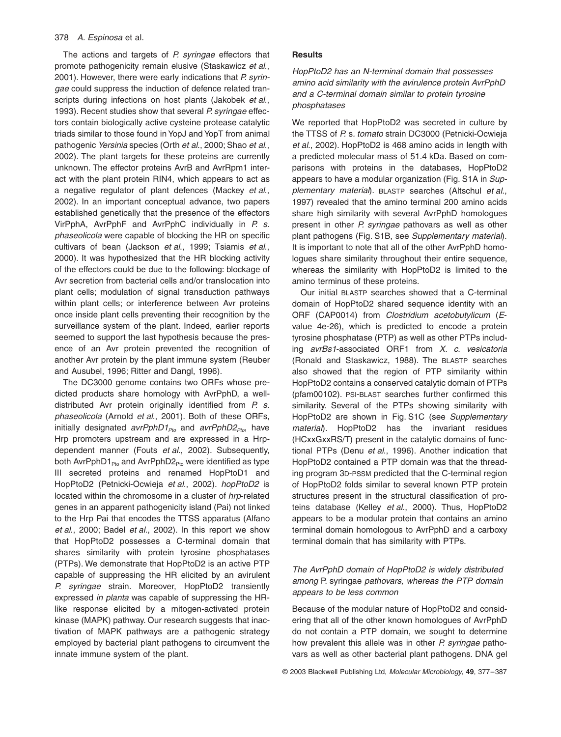The actions and targets of *P. syringae* effectors that promote pathogenicity remain elusive (Staskawicz *et al*., 2001). However, there were early indications that *P. syringae* could suppress the induction of defence related transcripts during infections on host plants (Jakobek *et al*., 1993). Recent studies show that several *P. syringae* effectors contain biologically active cysteine protease catalytic triads similar to those found in YopJ and YopT from animal pathogenic *Yersinia* species (Orth *et al*., 2000; Shao *et al*., 2002). The plant targets for these proteins are currently unknown. The effector proteins AvrB and AvrRpm1 interact with the plant protein RIN4, which appears to act as a negative regulator of plant defences (Mackey *et al*., 2002). In an important conceptual advance, two papers established genetically that the presence of the effectors VirPphA, AvrPphF and AvrPphC individually in *P. s. phaseolicola* were capable of blocking the HR on specific cultivars of bean (Jackson *et al*., 1999; Tsiamis *et al*., 2000). It was hypothesized that the HR blocking activity of the effectors could be due to the following: blockage of Avr secretion from bacterial cells and/or translocation into plant cells; modulation of signal transduction pathways within plant cells; or interference between Avr proteins once inside plant cells preventing their recognition by the surveillance system of the plant. Indeed, earlier reports seemed to support the last hypothesis because the presence of an Avr protein prevented the recognition of another Avr protein by the plant immune system (Reuber and Ausubel, 1996; Ritter and Dangl, 1996).

The DC3000 genome contains two ORFs whose predicted products share homology with AvrPphD, a welldistributed Avr protein originally identified from *P. s. phaseolicola* (Arnold *et al*., 2001). Both of these ORFs, initially designated *avrPphD1<sub>Pto</sub>* and *avrPphD2<sub>Pto</sub>*, have Hrp promoters upstream and are expressed in a Hrpdependent manner (Fouts *et al*., 2002). Subsequently, both  $AvrPphD1_{Pto}$  and  $AvrPphD2_{Pto}$  were identified as type III secreted proteins and renamed HopPtoD1 and HopPtoD2 (Petnicki-Ocwieja *et al*., 2002). *hopPtoD2* is located within the chromosome in a cluster of *hrp*-related genes in an apparent pathogenicity island (Pai) not linked to the Hrp Pai that encodes the TTSS apparatus (Alfano *et al*., 2000; Badel *et al*., 2002). In this report we show that HopPtoD2 possesses a C-terminal domain that shares similarity with protein tyrosine phosphatases (PTPs). We demonstrate that HopPtoD2 is an active PTP capable of suppressing the HR elicited by an avirulent *P. syringae* strain. Moreover, HopPtoD2 transiently expressed *in planta* was capable of suppressing the HRlike response elicited by a mitogen-activated protein kinase (MAPK) pathway. Our research suggests that inactivation of MAPK pathways are a pathogenic strategy employed by bacterial plant pathogens to circumvent the innate immune system of the plant.

## **Results**

*HopPtoD2 has an N-terminal domain that possesses amino acid similarity with the avirulence protein AvrPphD and a C-terminal domain similar to protein tyrosine phosphatases*

We reported that HopPtoD2 was secreted in culture by the TTSS of *P.* s*. tomato* strain DC3000 (Petnicki-Ocwieja *et al*., 2002). HopPtoD2 is 468 amino acids in length with a predicted molecular mass of 51.4 kDa. Based on comparisons with proteins in the databases, HopPtoD2 appears to have a modular organization (Fig. S1A in *Supplementary material*). BLASTP searches (Altschul *et al*., 1997) revealed that the amino terminal 200 amino acids share high similarity with several AvrPphD homologues present in other *P. syringae* pathovars as well as other plant pathogens (Fig. S1B, see *Supplementary material*). It is important to note that all of the other AvrPphD homologues share similarity throughout their entire sequence, whereas the similarity with HopPtoD2 is limited to the amino terminus of these proteins.

Our initial BLASTP searches showed that a C-terminal domain of HopPtoD2 shared sequence identity with an ORF (CAP0014) from *Clostridium acetobutylicum* (*E*value 4e-26), which is predicted to encode a protein tyrosine phosphatase (PTP) as well as other PTPs including *avrBs1*-associated ORF1 from *X. c. vesicatoria* (Ronald and Staskawicz, 1988). The BLASTP searches also showed that the region of PTP similarity within HopPtoD2 contains a conserved catalytic domain of PTPs (pfam00102). PSI-BLAST searches further confirmed this similarity. Several of the PTPs showing similarity with HopPtoD2 are shown in Fig. S1C (see *Supplementary material*). HopPtoD2 has the invariant residues (HCxxGxxRS/T) present in the catalytic domains of functional PTPs (Denu *et al*., 1996). Another indication that HopPtoD2 contained a PTP domain was that the threading program 3D-PSSM predicted that the C-terminal region of HopPtoD2 folds similar to several known PTP protein structures present in the structural classification of proteins database (Kelley *et al*., 2000). Thus, HopPtoD2 appears to be a modular protein that contains an amino terminal domain homologous to AvrPphD and a carboxy terminal domain that has similarity with PTPs.

## *The AvrPphD domain of HopPtoD2 is widely distributed among* P. syringae *pathovars, whereas the PTP domain appears to be less common*

Because of the modular nature of HopPtoD2 and considering that all of the other known homologues of AvrPphD do not contain a PTP domain, we sought to determine how prevalent this allele was in other *P. syringae* pathovars as well as other bacterial plant pathogens. DNA gel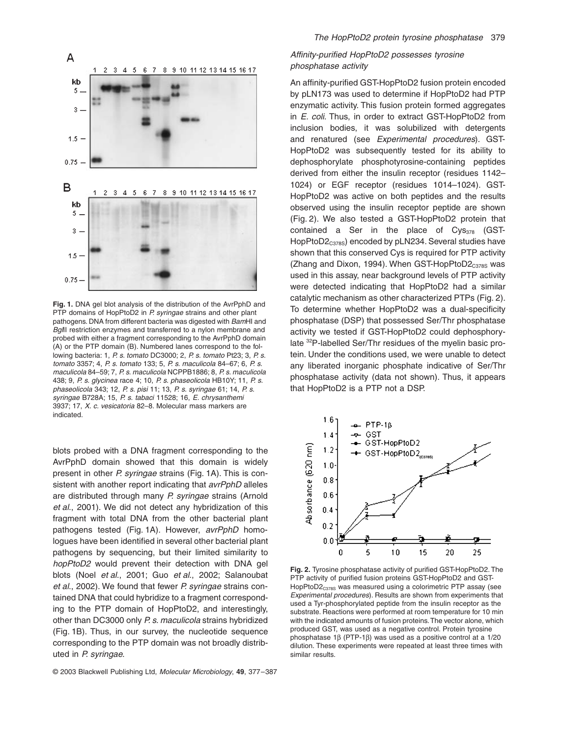

**Fig. 1.** DNA gel blot analysis of the distribution of the AvrPphD and PTP domains of HopPtoD2 in *P. syringae* strains and other plant pathogens. DNA from different bacteria was digested with *Bam*HI and *Bgl*II restriction enzymes and transferred to a nylon membrane and probed with either a fragment corresponding to the AvrPphD domain (A) or the PTP domain (B). Numbered lanes correspond to the following bacteria: 1, *P. s. tomato* DC3000; 2, *P. s*. *tomato* Pt23; 3, *P. s*. *tomato* 3357; 4, *P. s*. *tomato* 133; 5, *P. s. maculicola* 84–67; 6, *P. s. maculicola* 84–59; 7, *P. s. maculicola* NCPPB1886; 8, *P. s. maculicola* 438; 9, *P. s. glycinea* race 4; 10, *P. s. phaseolicola* HB10Y; 11, *P. s. phaseolicola* 343; 12, *P. s. pisi* 11; 13, *P. s. syringae* 61; 14, *P. s. syringae* B728A; 15, *P. s. tabaci* 11528; 16, *E. chrysanthemi* 3937; 17, *X. c. vesicatoria* 82–8. Molecular mass markers are indicated.

blots probed with a DNA fragment corresponding to the AvrPphD domain showed that this domain is widely present in other *P. syringae* strains (Fig. 1A). This is consistent with another report indicating that *avrPphD* alleles are distributed through many *P. syringae* strains (Arnold *et al*., 2001). We did not detect any hybridization of this fragment with total DNA from the other bacterial plant pathogens tested (Fig. 1A). However, *avrPphD* homologues have been identified in several other bacterial plant pathogens by sequencing, but their limited similarity to *hopPtoD2* would prevent their detection with DNA gel blots (Noel *et al*., 2001; Guo *et al*., 2002; Salanoubat *et al*., 2002). We found that fewer *P. syringae* strains contained DNA that could hybridize to a fragment corresponding to the PTP domain of HopPtoD2, and interestingly, other than DC3000 only *P. s. maculicola* strains hybridized (Fig. 1B). Thus, in our survey, the nucleotide sequence corresponding to the PTP domain was not broadly distributed in *P. syringae*.

## *Affinity-purified HopPtoD2 possesses tyrosine phosphatase activity*

An affinity-purified GST-HopPtoD2 fusion protein encoded by pLN173 was used to determine if HopPtoD2 had PTP enzymatic activity. This fusion protein formed aggregates in *E. coli*. Thus, in order to extract GST-HopPtoD2 from inclusion bodies, it was solubilized with detergents and renatured (see *Experimental procedures*). GST-HopPtoD2 was subsequently tested for its ability to dephosphorylate phosphotyrosine-containing peptides derived from either the insulin receptor (residues 1142– 1024) or EGF receptor (residues 1014–1024). GST-HopPtoD2 was active on both peptides and the results observed using the insulin receptor peptide are shown (Fig. 2). We also tested a GST-HopPtoD2 protein that contained a Ser in the place of  $Cys_{378}$  (GST-HopPtoD2<sub>C378S</sub>) encoded by pLN234. Several studies have shown that this conserved Cys is required for PTP activity (Zhang and Dixon, 1994). When GST-HopPtoD $2_{C378S}$  was used in this assay, near background levels of PTP activity were detected indicating that HopPtoD2 had a similar catalytic mechanism as other characterized PTPs (Fig. 2). To determine whether HopPtoD2 was a dual-specificity phosphatase (DSP) that possessed Ser/Thr phosphatase activity we tested if GST-HopPtoD2 could dephosphorylate 32P-labelled Ser/Thr residues of the myelin basic protein. Under the conditions used, we were unable to detect any liberated inorganic phosphate indicative of Ser/Thr phosphatase activity (data not shown). Thus, it appears that HopPtoD2 is a PTP not a DSP.



**Fig. 2.** Tyrosine phosphatase activity of purified GST-HopPtoD2. The PTP activity of purified fusion proteins GST-HopPtoD2 and GST-HopPtoD2<sub>C378S</sub> was measured using a colorimetric PTP assay (see *Experimental procedures*). Results are shown from experiments that used a Tyr-phosphorylated peptide from the insulin receptor as the substrate. Reactions were performed at room temperature for 10 min with the indicated amounts of fusion proteins. The vector alone, which produced GST, was used as a negative control. Protein tyrosine phosphatase 1 $\beta$  (PTP-1 $\beta$ ) was used as a positive control at a 1/20 dilution. These experiments were repeated at least three times with similar results.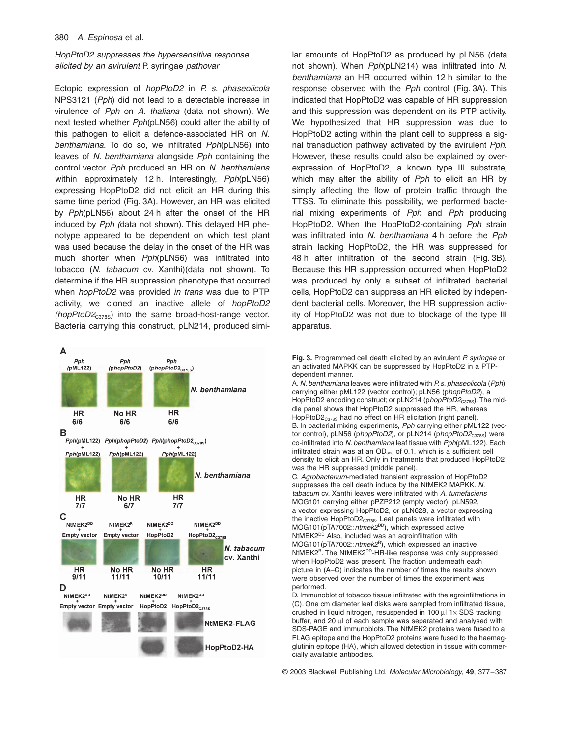## *HopPtoD2 suppresses the hypersensitive response elicited by an avirulent* P. syringae *pathovar*

Ectopic expression of *hopPtoD2* in *P. s. phaseolicola* NPS3121 (*Pph*) did not lead to a detectable increase in virulence of *Pph* on *A. thaliana* (data not shown). We next tested whether *Pph*(pLN56) could alter the ability of this pathogen to elicit a defence-associated HR on *N. benthamiana.* To do so, we infiltrated *Pph*(pLN56) into leaves of *N. benthamiana* alongside *Pph* containing the control vector. *Pph* produced an HR on *N. benthamiana* within approximately 12 h. Interestingly, *Pph*(pLN56) expressing HopPtoD2 did not elicit an HR during this same time period (Fig. 3A). However, an HR was elicited by *Pph*(pLN56) about 24 h after the onset of the HR induced by *Pph (*data not shown). This delayed HR phenotype appeared to be dependent on which test plant was used because the delay in the onset of the HR was much shorter when *Pph*(pLN56) was infiltrated into tobacco (*N. tabacum* cv. Xanthi)(data not shown). To determine if the HR suppression phenotype that occurred when *hopPtoD2* was provided *in trans* was due to PTP activity, we cloned an inactive allele of *hopPtoD2 (hopPtoD2<sub>C378S</sub>)* into the same broad-host-range vector. Bacteria carrying this construct, pLN214, produced simi-



lar amounts of HopPtoD2 as produced by pLN56 (data not shown). When *Pph*(pLN214) was infiltrated into *N. benthamiana* an HR occurred within 12 h similar to the response observed with the *Pph* control (Fig. 3A). This indicated that HopPtoD2 was capable of HR suppression and this suppression was dependent on its PTP activity. We hypothesized that HR suppression was due to HopPtoD2 acting within the plant cell to suppress a signal transduction pathway activated by the avirulent *Pph*. However, these results could also be explained by overexpression of HopPtoD2, a known type III substrate, which may alter the ability of *Pph* to elicit an HR by simply affecting the flow of protein traffic through the TTSS. To eliminate this possibility, we performed bacterial mixing experiments of *Pph* and *Pph* producing HopPtoD2. When the HopPtoD2-containing *Pph* strain was infiltrated into *N. benthamiana* 4 h before the *Pph* strain lacking HopPtoD2, the HR was suppressed for 48 h after infiltration of the second strain (Fig. 3B). Because this HR suppression occurred when HopPtoD2 was produced by only a subset of infiltrated bacterial cells, HopPtoD2 can suppress an HR elicited by independent bacterial cells. Moreover, the HR suppression activity of HopPtoD2 was not due to blockage of the type III apparatus.

**Fig. 3.** Programmed cell death elicited by an avirulent *P. syringae* or an activated MAPKK can be suppressed by HopPtoD2 in a PTPdependent manner.

A. *N. benthamiana* leaves were infiltrated with *P. s. phaseolicola* (*Pph*) carrying either pML122 (vector control); pLN56 (p*hopPtoD2*), a HopPtoD2 encoding construct; or pLN214 (phopPtoD2<sub>C378S</sub>). The middle panel shows that HopPtoD2 suppressed the HR, whereas HopPtoD2<sub>C378S</sub> had no effect on HR elicitation (right panel). B. In bacterial mixing experiments, *Pph* carrying either pML122 (vector control), pLN56 (phopPtoD2), or pLN214 (phopPtoD2<sub>C378S</sub>) were co-infiltrated into *N. benthamiana* leaf tissue with *Pph*(pML122). Each infiltrated strain was at an  $OD_{600}$  of 0.1, which is a sufficient cell density to elicit an HR. Only in treatments that produced HopPtoD2 was the HR suppressed (middle panel).

C. *Agrobacterium*-mediated transient expression of HopPtoD2 suppresses the cell death induce by the NtMEK2 MAPKK. *N. tabacum* cv. Xanthi leaves were infiltrated with *A. tumefaciens* MOG101 carrying either pPZP212 (empty vector), pLN592, a vector expressing HopPtoD2, or pLN628, a vector expressing the inactive  $\text{HopPtoD2}_{\text{C378S}}$ . Leaf panels were infiltrated with MOG101(pTA7002::ntmek2<sup>DD</sup>), which expressed active NtMEK2<sup>DD</sup> Also, included was an agroinfiltration with MOG101(pTA7002::*ntmek2*<sup>R</sup>), which expressed an inactive NtMEK2<sup>R</sup>. The NtMEK2<sup>DD</sup>-HR-like response was only suppressed when HopPtoD2 was present. The fraction underneath each picture in (A–C) indicates the number of times the results shown were observed over the number of times the experiment was performed.

D. Immunoblot of tobacco tissue infiltrated with the agroinfiltrations in (C). One cm diameter leaf disks were sampled from infiltrated tissue, crushed in liquid nitrogen, resuspended in 100  $\mu$ l 1 $\times$  SDS tracking buffer, and 20 µl of each sample was separated and analysed with SDS-PAGE and immunoblots. The NtMEK2 proteins were fused to a FLAG epitope and the HopPtoD2 proteins were fused to the haemagglutinin epitope (HA), which allowed detection in tissue with commercially available antibodies.

© 2003 Blackwell Publishing Ltd, *Molecular Microbiology*, **49**, 377–387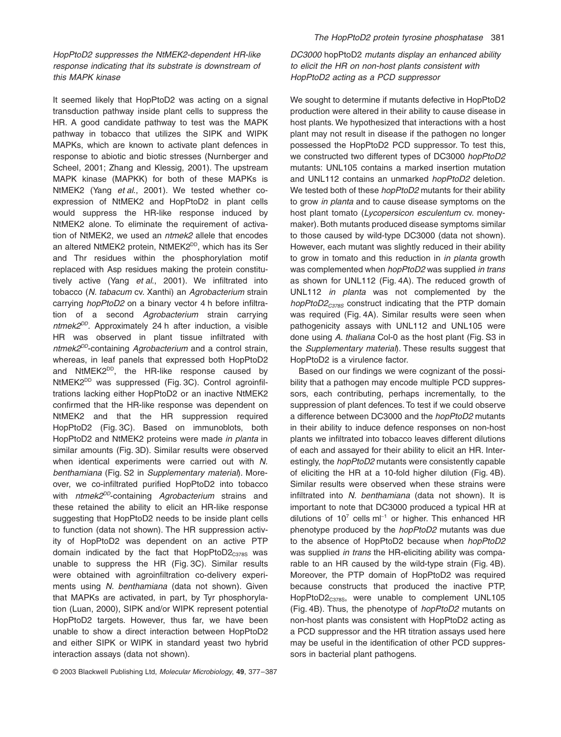It seemed likely that HopPtoD2 was acting on a signal transduction pathway inside plant cells to suppress the HR. A good candidate pathway to test was the MAPK pathway in tobacco that utilizes the SIPK and WIPK MAPKs, which are known to activate plant defences in response to abiotic and biotic stresses (Nurnberger and Scheel, 2001; Zhang and Klessig, 2001). The upstream MAPK kinase (MAPKK) for both of these MAPKs is NtMEK2 (Yang *et al*., 2001). We tested whether coexpression of NtMEK2 and HopPtoD2 in plant cells would suppress the HR-like response induced by NtMEK2 alone. To eliminate the requirement of activation of NtMEK2, we used an *ntmek2* allele that encodes an altered NtMEK2 protein, NtMEK2<sup>DD</sup>, which has its Ser and Thr residues within the phosphorylation motif replaced with Asp residues making the protein constitutively active (Yang *et al*., 2001). We infiltrated into tobacco (*N. tabacum* cv. Xanthi) an *Agrobacterium* strain carrying *hopPtoD2* on a binary vector 4 h before infiltration of a second *Agrobacterium* strain carrying *ntmek2DD.* Approximately 24 h after induction, a visible HR was observed in plant tissue infiltrated with *ntmek2DD*-containing *Agrobacterium* and a control strain, whereas, in leaf panels that expressed both HopPtoD2 and NtMEK2<sup>DD</sup>, the HR-like response caused by NtMEK2<sup>DD</sup> was suppressed (Fig. 3C). Control agroinfiltrations lacking either HopPtoD2 or an inactive NtMEK2 confirmed that the HR-like response was dependent on NtMEK2 and that the HR suppression required HopPtoD2 (Fig. 3C). Based on immunoblots, both HopPtoD2 and NtMEK2 proteins were made *in planta* in similar amounts (Fig. 3D). Similar results were observed when identical experiments were carried out with *N. benthamiana* (Fig. S2 in *Supplementary material*). Moreover, we co-infiltrated purified HopPtoD2 into tobacco with *ntmek2DD*-containing *Agrobacterium* strains and these retained the ability to elicit an HR-like response suggesting that HopPtoD2 needs to be inside plant cells to function (data not shown). The HR suppression activity of HopPtoD2 was dependent on an active PTP domain indicated by the fact that  $HopPtoD2<sub>C378S</sub>$  was unable to suppress the HR (Fig. 3C). Similar results were obtained with agroinfiltration co-delivery experiments using *N. benthamiana* (data not shown). Given that MAPKs are activated, in part, by Tyr phosphorylation (Luan, 2000), SIPK and/or WIPK represent potential HopPtoD2 targets. However, thus far, we have been unable to show a direct interaction between HopPtoD2 and either SIPK or WIPK in standard yeast two hybrid interaction assays (data not shown).

*DC3000* hopPtoD2 *mutants display an enhanced ability to elicit the HR on non-host plants consistent with HopPtoD2 acting as a PCD suppressor*

We sought to determine if mutants defective in HopPtoD2 production were altered in their ability to cause disease in host plants. We hypothesized that interactions with a host plant may not result in disease if the pathogen no longer possessed the HopPtoD2 PCD suppressor. To test this, we constructed two different types of DC3000 *hopPtoD2* mutants: UNL105 contains a marked insertion mutation and UNL112 contains an unmarked *hopPtoD2* deletion. We tested both of these *hopPtoD2* mutants for their ability to grow *in planta* and to cause disease symptoms on the host plant tomato (*Lycopersicon esculentum* cv. moneymaker). Both mutants produced disease symptoms similar to those caused by wild-type DC3000 (data not shown). However, each mutant was slightly reduced in their ability to grow in tomato and this reduction in *in planta* growth was complemented when *hopPtoD2* was supplied *in trans* as shown for UNL112 (Fig. 4A). The reduced growth of UNL112 *in planta* was not complemented by the *hopPtoD2<sub>C378S</sub>* construct indicating that the PTP domain was required (Fig. 4A). Similar results were seen when pathogenicity assays with UNL112 and UNL105 were done using *A. thaliana* Col-0 as the host plant (Fig. S3 in the *Supplementary material*). These results suggest that HopPtoD2 is a virulence factor.

Based on our findings we were cognizant of the possibility that a pathogen may encode multiple PCD suppressors, each contributing, perhaps incrementally, to the suppression of plant defences. To test if we could observe a difference between DC3000 and the *hopPtoD2* mutants in their ability to induce defence responses on non-host plants we infiltrated into tobacco leaves different dilutions of each and assayed for their ability to elicit an HR. Interestingly, the *hopPtoD2* mutants were consistently capable of eliciting the HR at a 10-fold higher dilution (Fig. 4B). Similar results were observed when these strains were infiltrated into *N. benthamiana* (data not shown). It is important to note that DC3000 produced a typical HR at dilutions of  $10^7$  cells m $I^{-1}$  or higher. This enhanced HR phenotype produced by the *hopPtoD2* mutants was due to the absence of HopPtoD2 because when *hopPtoD2* was supplied *in trans* the HR-eliciting ability was comparable to an HR caused by the wild-type strain (Fig. 4B). Moreover, the PTP domain of HopPtoD2 was required because constructs that produced the inactive PTP, HopPtoD2<sub>C378S</sub>, were unable to complement UNL105 (Fig. 4B). Thus, the phenotype of *hopPtoD2* mutants on non-host plants was consistent with HopPtoD2 acting as a PCD suppressor and the HR titration assays used here may be useful in the identification of other PCD suppressors in bacterial plant pathogens.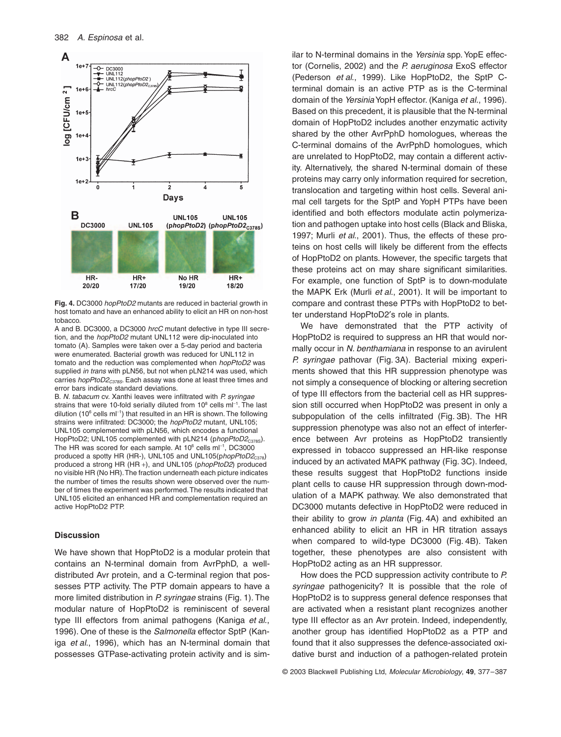

**Fig. 4.** DC3000 *hopPtoD2* mutants are reduced in bacterial growth in host tomato and have an enhanced ability to elicit an HR on non-host tobacco.

A and B. DC3000, a DC3000 *hrcC* mutant defective in type III secretion, and the *hopPtoD2* mutant UNL112 were dip-inoculated into tomato (A). Samples were taken over a 5-day period and bacteria were enumerated. Bacterial growth was reduced for UNL112 in tomato and the reduction was complemented when *hopPtoD2* was supplied *in trans* with pLN56, but not when pLN214 was used, which carries *hopPtoD2<sub>C378S</sub>*. Each assay was done at least three times and error bars indicate standard deviations.

B. *N. tabacum* cv. Xanthi leaves were infiltrated with *P. syringae* strains that were 10-fold serially diluted from  $10^8$  cells m $I^{-1}$ . The last dilution (10 $6$  cells m $11$ ) that resulted in an HR is shown. The following strains were infiltrated: DC3000; the *hopPtoD2* mutant, UNL105; UNL105 complemented with pLN56, which encodes a functional HopPtoD2; UNL105 complemented with pLN214 (phopPtoD2<sub>C378S</sub>). The HR was scored for each sample. At  $10^6$  cells m $I^{-1}$ , DC3000 produced a spotty HR (HR-), UNL105 and UNL105(phopPtoD2<sub>C378</sub>) produced a strong HR (HR +), and UNL105 (p*hopPtoD2*) produced no visible HR (No HR). The fraction underneath each picture indicates the number of times the results shown were observed over the number of times the experiment was performed. The results indicated that UNL105 elicited an enhanced HR and complementation required an active HopPtoD2 PTP.

## **Discussion**

We have shown that HopPtoD2 is a modular protein that contains an N-terminal domain from AvrPphD, a welldistributed Avr protein, and a C-terminal region that possesses PTP activity. The PTP domain appears to have a more limited distribution in *P. syringae* strains (Fig. 1). The modular nature of HopPtoD2 is reminiscent of several type III effectors from animal pathogens (Kaniga *et al*., 1996). One of these is the *Salmonella* effector SptP (Kaniga *et al*., 1996), which has an N-terminal domain that possesses GTPase-activating protein activity and is similar to N-terminal domains in the *Yersinia* spp. YopE effector (Cornelis, 2002) and the *P. aeruginosa* ExoS effector (Pederson *et al*., 1999). Like HopPtoD2, the SptP Cterminal domain is an active PTP as is the C-terminal domain of the *Yersinia*YopH effector. (Kaniga *et al*., 1996). Based on this precedent, it is plausible that the N-terminal domain of HopPtoD2 includes another enzymatic activity shared by the other AvrPphD homologues, whereas the C-terminal domains of the AvrPphD homologues, which are unrelated to HopPtoD2, may contain a different activity. Alternatively, the shared N-terminal domain of these proteins may carry only information required for secretion, translocation and targeting within host cells. Several animal cell targets for the SptP and YopH PTPs have been identified and both effectors modulate actin polymerization and pathogen uptake into host cells (Black and Bliska, 1997; Murli *et al*., 2001). Thus, the effects of these proteins on host cells will likely be different from the effects of HopPtoD2 on plants. However, the specific targets that these proteins act on may share significant similarities. For example, one function of SptP is to down-modulate the MAPK Erk (Murli *et al*., 2001). It will be important to compare and contrast these PTPs with HopPtoD2 to better understand HopPtoD2's role in plants.

We have demonstrated that the PTP activity of HopPtoD2 is required to suppress an HR that would normally occur in *N. benthamiana* in response to an avirulent *P. syringae* pathovar (Fig. 3A). Bacterial mixing experiments showed that this HR suppression phenotype was not simply a consequence of blocking or altering secretion of type III effectors from the bacterial cell as HR suppression still occurred when HopPtoD2 was present in only a subpopulation of the cells infiltrated (Fig. 3B). The HR suppression phenotype was also not an effect of interference between Avr proteins as HopPtoD2 transiently expressed in tobacco suppressed an HR-like response induced by an activated MAPK pathway (Fig. 3C). Indeed, these results suggest that HopPtoD2 functions inside plant cells to cause HR suppression through down-modulation of a MAPK pathway. We also demonstrated that DC3000 mutants defective in HopPtoD2 were reduced in their ability to grow *in planta* (Fig. 4A) and exhibited an enhanced ability to elicit an HR in HR titration assays when compared to wild-type DC3000 (Fig. 4B). Taken together, these phenotypes are also consistent with HopPtoD2 acting as an HR suppressor.

How does the PCD suppression activity contribute to *P. syringae* pathogenicity? It is possible that the role of HopPtoD2 is to suppress general defence responses that are activated when a resistant plant recognizes another type III effector as an Avr protein. Indeed, independently, another group has identified HopPtoD2 as a PTP and found that it also suppresses the defence-associated oxidative burst and induction of a pathogen-related protein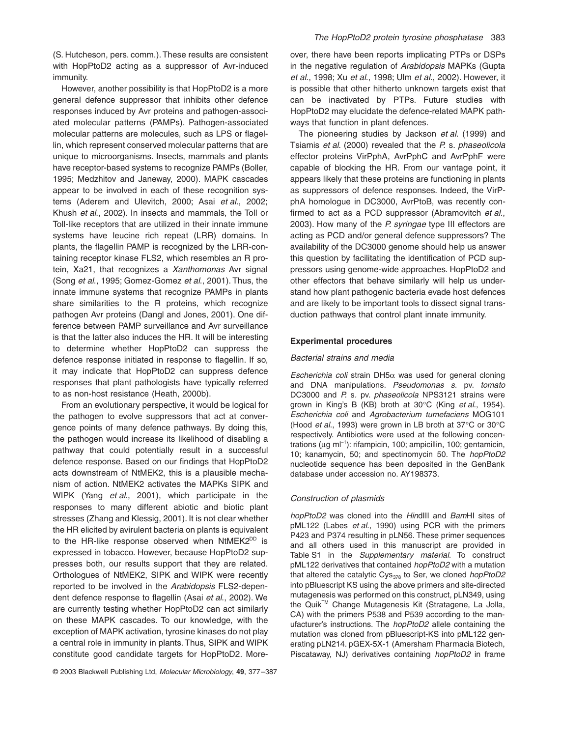(S. Hutcheson, pers. comm.). These results are consistent with HopPtoD2 acting as a suppressor of Avr-induced immunity.

However, another possibility is that HopPtoD2 is a more general defence suppressor that inhibits other defence responses induced by Avr proteins and pathogen-associated molecular patterns (PAMPs). Pathogen-associated molecular patterns are molecules, such as LPS or flagellin, which represent conserved molecular patterns that are unique to microorganisms. Insects, mammals and plants have receptor-based systems to recognize PAMPs (Boller, 1995; Medzhitov and Janeway, 2000). MAPK cascades appear to be involved in each of these recognition systems (Aderem and Ulevitch, 2000; Asai *et al*., 2002; Khush *et al*., 2002). In insects and mammals, the Toll or Toll-like receptors that are utilized in their innate immune systems have leucine rich repeat (LRR) domains. In plants, the flagellin PAMP is recognized by the LRR-containing receptor kinase FLS2, which resembles an R protein, Xa21, that recognizes a *Xanthomonas* Avr signal (Song *et al*., 1995; Gomez-Gomez *et al*., 2001). Thus, the innate immune systems that recognize PAMPs in plants share similarities to the R proteins, which recognize pathogen Avr proteins (Dangl and Jones, 2001). One difference between PAMP surveillance and Avr surveillance is that the latter also induces the HR. It will be interesting to determine whether HopPtoD2 can suppress the defence response initiated in response to flagellin. If so, it may indicate that HopPtoD2 can suppress defence responses that plant pathologists have typically referred to as non-host resistance (Heath, 2000b).

From an evolutionary perspective, it would be logical for the pathogen to evolve suppressors that act at convergence points of many defence pathways. By doing this, the pathogen would increase its likelihood of disabling a pathway that could potentially result in a successful defence response. Based on our findings that HopPtoD2 acts downstream of NtMEK2, this is a plausible mechanism of action. NtMEK2 activates the MAPKs SIPK and WIPK (Yang *et al*., 2001), which participate in the responses to many different abiotic and biotic plant stresses (Zhang and Klessig, 2001). It is not clear whether the HR elicited by avirulent bacteria on plants is equivalent to the HR-like response observed when  $NtMEK2^{DD}$  is expressed in tobacco. However, because HopPtoD2 suppresses both, our results support that they are related. Orthologues of NtMEK2, SIPK and WIPK were recently reported to be involved in the *Arabidopsis* FLS2-dependent defence response to flagellin (Asai *et al*., 2002). We are currently testing whether HopPtoD2 can act similarly on these MAPK cascades. To our knowledge, with the exception of MAPK activation, tyrosine kinases do not play a central role in immunity in plants. Thus, SIPK and WIPK constitute good candidate targets for HopPtoD2. Moreover, there have been reports implicating PTPs or DSPs in the negative regulation of *Arabidopsis* MAPKs (Gupta *et al*., 1998; Xu *et al*., 1998; Ulm *et al*., 2002). However, it is possible that other hitherto unknown targets exist that can be inactivated by PTPs. Future studies with HopPtoD2 may elucidate the defence-related MAPK pathways that function in plant defences.

The pioneering studies by Jackson *et al*. (1999) and Tsiamis *et al*. (2000) revealed that the *P.* s*. phaseolicola* effector proteins VirPphA, AvrPphC and AvrPphF were capable of blocking the HR. From our vantage point, it appears likely that these proteins are functioning in plants as suppressors of defence responses. Indeed, the VirPphA homologue in DC3000, AvrPtoB, was recently confirmed to act as a PCD suppressor (Abramovitch *et al*., 2003). How many of the *P. syringae* type III effectors are acting as PCD and/or general defence suppressors? The availability of the DC3000 genome should help us answer this question by facilitating the identification of PCD suppressors using genome-wide approaches. HopPtoD2 and other effectors that behave similarly will help us understand how plant pathogenic bacteria evade host defences and are likely to be important tools to dissect signal transduction pathways that control plant innate immunity.

#### **Experimental procedures**

#### *Bacterial strains and media*

 $E$ *scherichia coli* strain DH5 $\alpha$  was used for general cloning and DNA manipulations. *Pseudomonas s.* pv. *tomato* DC3000 and *P.* s*.* pv. *phaseolicola* NPS3121 strains were grown in King's B (KB) broth at 30∞C (King *et al*., 1954). *Escherichia coli* and *Agrobacterium tumefaciens* MOG101 (Hood *et al*., 1993) were grown in LB broth at 37∞C or 30∞C respectively. Antibiotics were used at the following concentrations (µg ml<sup>-1</sup>): rifampicin, 100; ampicillin, 100; gentamicin, 10; kanamycin, 50; and spectinomycin 50. The *hopPtoD2* nucleotide sequence has been deposited in the GenBank database under accession no. AY198373.

#### *Construction of plasmids*

*hopPtoD2* was cloned into the *Hin*dIII and *Bam*HI sites of pML122 (Labes *et al*., 1990) using PCR with the primers P423 and P374 resulting in pLN56. These primer sequences and all others used in this manuscript are provided in Table S1 in the *Supplementary material*. To construct pML122 derivatives that contained *hopPtoD2* with a mutation that altered the catalytic Cys<sub>378</sub> to Ser, we cloned *hopPtoD2* into pBluescript KS using the above primers and site-directed mutagenesis was performed on this construct, pLN349, using the Quik™ Change Mutagenesis Kit (Stratagene, La Jolla, CA) with the primers P538 and P539 according to the manufacturer's instructions. The *hopPtoD2* allele containing the mutation was cloned from pBluescript-KS into pML122 generating pLN214. pGEX-5X-1 (Amersham Pharmacia Biotech, Piscataway, NJ) derivatives containing *hopPtoD2* in frame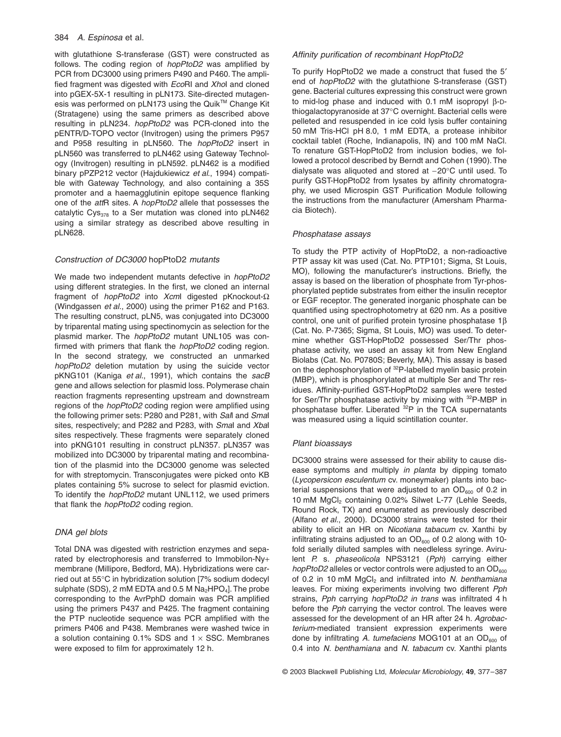with glutathione S-transferase (GST) were constructed as follows. The coding region of *hopPtoD2* was amplified by PCR from DC3000 using primers P490 and P460. The amplified fragment was digested with *Eco*RI and *Xho*I and cloned into pGEX-5X-1 resulting in pLN173. Site-directed mutagenesis was performed on pLN173 using the Quik™ Change Kit (Stratagene) using the same primers as described above resulting in pLN234. *hopPtoD2* was PCR-cloned into the pENTR/D-TOPO vector (Invitrogen) using the primers P957 and P958 resulting in pLN560. The *hopPtoD2* insert in pLN560 was transferred to pLN462 using Gateway Technology (Invitrogen) resulting in pLN592. pLN462 is a modified binary pPZP212 vector (Hajdukiewicz *et al*., 1994) compatible with Gateway Technology, and also containing a 35S promoter and a haemagglutinin epitope sequence flanking one of the *att*R sites. A *hopPtoD2* allele that possesses the catalytic Cys<sub>378</sub> to a Ser mutation was cloned into pLN462 using a similar strategy as described above resulting in pLN628.

## *Construction of DC3000* hopPtoD2 *mutants*

We made two independent mutants defective in *hopPtoD2* using different strategies. In the first, we cloned an internal fragment of *hopPtoD2* into *Xcm*I digested pKnockout- $\Omega$ (Windgassen *et al*., 2000) using the primer P162 and P163. The resulting construct, pLN5, was conjugated into DC3000 by triparental mating using spectinomycin as selection for the plasmid marker. The *hopPtoD2* mutant UNL105 was confirmed with primers that flank the *hopPtoD2* coding region. In the second strategy, we constructed an unmarked *hopPtoD2* deletion mutation by using the suicide vector pKNG101 (Kaniga *et al*., 1991), which contains the *sacB* gene and allows selection for plasmid loss. Polymerase chain reaction fragments representing upstream and downstream regions of the *hopPtoD2* coding region were amplified using the following primer sets: P280 and P281, with *Sal*I and *Sma*I sites, respectively; and P282 and P283, with *Sma*I and *Xba*I sites respectively. These fragments were separately cloned into pKNG101 resulting in construct pLN357. pLN357 was mobilized into DC3000 by triparental mating and recombination of the plasmid into the DC3000 genome was selected for with streptomycin. Transconjugates were picked onto KB plates containing 5% sucrose to select for plasmid eviction. To identify the *hopPtoD2* mutant UNL112, we used primers that flank the *hopPtoD2* coding region.

## *DNA gel blots*

Total DNA was digested with restriction enzymes and separated by electrophoresis and transferred to Immobilon-Ny+ membrane (Millipore, Bedford, MA). Hybridizations were carried out at 55∞C in hybridization solution [7% sodium dodecyl sulphate (SDS), 2 mM EDTA and 0.5 M  $Na<sub>2</sub>HPO<sub>4</sub>$ . The probe corresponding to the AvrPphD domain was PCR amplified using the primers P437 and P425. The fragment containing the PTP nucleotide sequence was PCR amplified with the primers P406 and P438. Membranes were washed twice in a solution containing  $0.1\%$  SDS and  $1 \times$  SSC. Membranes were exposed to film for approximately 12 h.

#### *Affinity purification of recombinant HopPtoD2*

To purify HopPtoD2 we made a construct that fused the 5' end of *hopPtoD2* with the glutathione S-transferase (GST) gene. Bacterial cultures expressing this construct were grown to mid-log phase and induced with  $0.1$  mM isopropyl  $\beta$ -Dthiogalactopyranoside at 37∞C overnight. Bacterial cells were pelleted and resuspended in ice cold lysis buffer containing 50 mM Tris-HCl pH 8.0, 1 mM EDTA, a protease inhibitor cocktail tablet (Roche, Indianapolis, IN) and 100 mM NaCl. To renature GST-HopPtoD2 from inclusion bodies, we followed a protocol described by Berndt and Cohen (1990). The dialysate was aliquoted and stored at  $-20^{\circ}$ C until used. To purify GST-HopPtoD2 from lysates by affinity chromatography, we used Microspin GST Purification Module following the instructions from the manufacturer (Amersham Pharmacia Biotech).

## *Phosphatase assays*

To study the PTP activity of HopPtoD2, a non-radioactive PTP assay kit was used (Cat. No. PTP101; Sigma, St Louis, MO), following the manufacturer's instructions. Briefly, the assay is based on the liberation of phosphate from Tyr-phosphorylated peptide substrates from either the insulin receptor or EGF receptor. The generated inorganic phosphate can be quantified using spectrophotometry at 620 nm. As a positive control, one unit of purified protein tyrosine phosphatase  $1\beta$ (Cat. No. P-7365; Sigma, St Louis, MO) was used. To determine whether GST-HopPtoD2 possessed Ser/Thr phosphatase activity, we used an assay kit from New England Biolabs (Cat. No. P0780S; Beverly, MA). This assay is based on the dephosphorylation of <sup>32</sup>P-labelled myelin basic protein (MBP), which is phosphorylated at multiple Ser and Thr residues. Affinity-purified GST-HopPtoD2 samples were tested for Ser/Thr phosphatase activity by mixing with 32P-MBP in phosphatase buffer. Liberated  $^{32}P$  in the TCA supernatants was measured using a liquid scintillation counter.

## *Plant bioassays*

DC3000 strains were assessed for their ability to cause disease symptoms and multiply *in planta* by dipping tomato (*Lycopersicon esculentum* cv. moneymaker) plants into bacterial suspensions that were adjusted to an  $OD<sub>600</sub>$  of 0.2 in 10 mM MgCl<sub>2</sub> containing 0.02% Silwet L-77 (Lehle Seeds, Round Rock, TX) and enumerated as previously described (Alfano *et al*., 2000). DC3000 strains were tested for their ability to elicit an HR on *Nicotiana tabacum* cv. Xanthi by infiltrating strains adjusted to an  $OD_{600}$  of 0.2 along with 10fold serially diluted samples with needleless syringe. Avirulent *P.* s*. phaseolicola* NPS3121 (*Pph*) carrying either *hopPtoD2* alleles or vector controls were adjusted to an OD<sub>600</sub> of 0.2 in 10 mM MgCl<sub>2</sub> and infiltrated into *N. benthamiana* leaves. For mixing experiments involving two different *Pph* strains, *Pph* carrying *hopPtoD2 in trans* was infiltrated 4 h before the *Pph* carrying the vector control. The leaves were assessed for the development of an HR after 24 h. *Agrobacterium*-mediated transient expression experiments were done by infiltrating A. tumefaciens MOG101 at an OD<sub>600</sub> of 0.4 into *N. benthamiana* and *N. tabacum* cv. Xanthi plants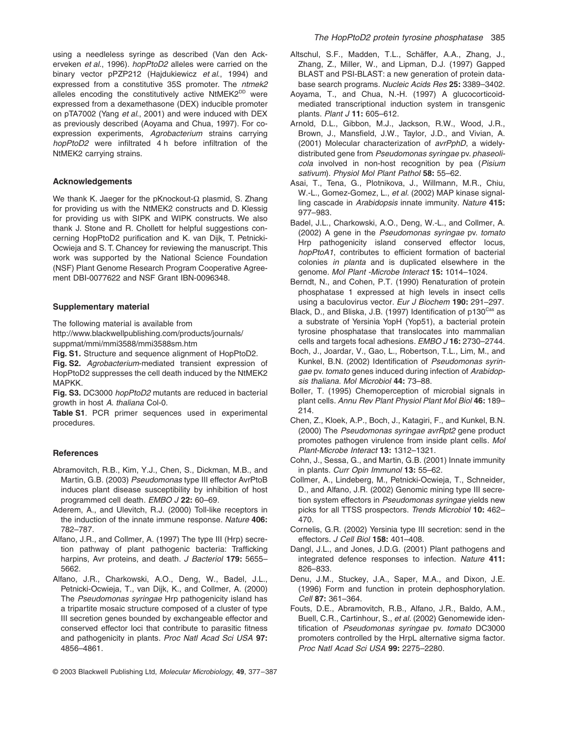using a needleless syringe as described (Van den Ackerveken *et al*., 1996). *hopPtoD2* alleles were carried on the binary vector pPZP212 (Hajdukiewicz *et al*., 1994) and expressed from a constitutive 35S promoter. The *ntmek2* alleles encoding the constitutively active NtMEK2<sup>DD</sup> were expressed from a dexamethasone (DEX) inducible promoter on pTA7002 (Yang *et al*., 2001) and were induced with DEX as previously described (Aoyama and Chua, 1997). For coexpression experiments, *Agrobacterium* strains carrying *hopPtoD2* were infiltrated 4 h before infiltration of the NtMEK2 carrying strains.

#### **Acknowledgements**

We thank K. Jaeger for the pKnockout- $\Omega$  plasmid, S. Zhang for providing us with the NtMEK2 constructs and D. Klessig for providing us with SIPK and WIPK constructs. We also thank J. Stone and R. Chollett for helpful suggestions concerning HopPtoD2 purification and K. van Dijk, T. Petnicki-Ocwieja and S. T. Chancey for reviewing the manuscript. This work was supported by the National Science Foundation (NSF) Plant Genome Research Program Cooperative Agreement DBI-0077622 and NSF Grant IBN-0096348.

#### **Supplementary material**

The following material is available from <http://www.blackwellpublishing.com/products/journals/> suppmat/mmi/mmi3588/mmi3588sm.htm

**Fig. S1.** Structure and sequence alignment of HopPtoD2.

**Fig. S2.** *Agrobacterium*-mediated transient expression of HopPtoD2 suppresses the cell death induced by the NtMEK2 MAPKK.

**Fig. S3.** DC3000 *hopPtoD2* mutants are reduced in bacterial growth in host *A. thaliana* Col-0.

**Table S1**. PCR primer sequences used in experimental procedures.

#### **References**

- Abramovitch, R.B., Kim, Y.J., Chen, S., Dickman, M.B., and Martin, G.B. (2003) *Pseudomonas* type III effector AvrPtoB induces plant disease susceptibility by inhibition of host programmed cell death. *EMBO J* **22:** 60–69.
- Aderem, A., and Ulevitch, R.J. (2000) Toll-like receptors in the induction of the innate immune response. *Nature* **406:** 782–787.
- Alfano, J.R., and Collmer, A. (1997) The type III (Hrp) secretion pathway of plant pathogenic bacteria: Trafficking harpins, Avr proteins, and death. *J Bacteriol* **179:** 5655– 5662.
- Alfano, J.R., Charkowski, A.O., Deng, W., Badel, J.L., Petnicki-Ocwieja, T., van Dijk, K., and Collmer, A. (2000) The *Pseudomonas syringae* Hrp pathogenicity island has a tripartite mosaic structure composed of a cluster of type III secretion genes bounded by exchangeable effector and conserved effector loci that contribute to parasitic fitness and pathogenicity in plants. *Proc Natl Acad Sci USA* **97:** 4856–4861.
- Altschul, S.F., Madden, T.L., Schäffer, A.A., Zhang, J., Zhang, Z., Miller, W., and Lipman, D.J. (1997) Gapped BLAST and PSI-BLAST: a new generation of protein database search programs. *Nucleic Acids Res* **25:** 3389–3402.
- Aoyama, T., and Chua, N.-H. (1997) A glucocorticoidmediated transcriptional induction system in transgenic plants. *Plant J* **11:** 605–612.
- Arnold, D.L., Gibbon, M.J., Jackson, R.W., Wood, J.R., Brown, J., Mansfield, J.W., Taylor, J.D., and Vivian, A. (2001) Molecular characterization of *avrPphD*, a widelydistributed gene from *Pseudomonas syringae* pv. *phaseolicola* involved in non-host recognition by pea (*Pisium sativum*). *Physiol Mol Plant Pathol* **58:** 55–62.
- Asai, T., Tena, G., Plotnikova, J., Willmann, M.R., Chiu, W.-L., Gomez-Gomez, L., *et al.* (2002) MAP kinase signalling cascade in *Arabidopsis* innate immunity. *Nature* **415:** 977–983.
- Badel, J.L., Charkowski, A.O., Deng, W.-L., and Collmer, A. (2002) A gene in the *Pseudomonas syringae* pv. *tomato* Hrp pathogenicity island conserved effector locus, *hopPtoA1*, contributes to efficient formation of bacterial colonies *in planta* and is duplicated elsewhere in the genome. *Mol Plant -Microbe Interact* **15:** 1014–1024.
- Berndt, N., and Cohen, P.T. (1990) Renaturation of protein phosphatase 1 expressed at high levels in insect cells using a baculovirus vector. *Eur J Biochem* **190:** 291–297.
- Black, D., and Bliska, J.B. (1997) Identification of p130<sup>Cas</sup> as a substrate of Yersinia YopH (Yop51), a bacterial protein tyrosine phosphatase that translocates into mammalian cells and targets focal adhesions. *EMBO J* **16:** 2730–2744.
- Boch, J., Joardar, V., Gao, L., Robertson, T.L., Lim, M., and Kunkel, B.N. (2002) Identification of *Pseudomonas syringae* pv. *tomato* genes induced during infection of *Arabidopsis thaliana*. *Mol Microbiol* **44:** 73–88.
- Boller, T. (1995) Chemoperception of microbial signals in plant cells. *Annu Rev Plant Physiol Plant Mol Biol* **46:** 189– 214.
- Chen, Z., Kloek, A.P., Boch, J., Katagiri, F., and Kunkel, B.N. (2000) The *Pseudomonas syringae avrRpt2* gene product promotes pathogen virulence from inside plant cells. *Mol Plant-Microbe Interact* **13:** 1312–1321.
- Cohn, J., Sessa, G., and Martin, G.B. (2001) Innate immunity in plants. *Curr Opin Immunol* **13:** 55–62.
- Collmer, A., Lindeberg, M., Petnicki-Ocwieja, T., Schneider, D., and Alfano, J.R. (2002) Genomic mining type III secretion system effectors in *Pseudomonas syringae* yields new picks for all TTSS prospectors. *Trends Microbiol* **10:** 462– 470.
- Cornelis, G.R. (2002) Yersinia type III secretion: send in the effectors. *J Cell Biol* **158:** 401–408.
- Dangl, J.L., and Jones, J.D.G. (2001) Plant pathogens and integrated defence responses to infection. *Nature* **411:** 826–833.
- Denu, J.M., Stuckey, J.A., Saper, M.A., and Dixon, J.E. (1996) Form and function in protein dephosphorylation. *Cell* **87:** 361–364.
- Fouts, D.E., Abramovitch, R.B., Alfano, J.R., Baldo, A.M., Buell, C.R., Cartinhour, S., *et al.* (2002) Genomewide identification of *Pseudomonas syringae* pv. *tomato* DC3000 promoters controlled by the HrpL alternative sigma factor. *Proc Natl Acad Sci USA* **99:** 2275–2280.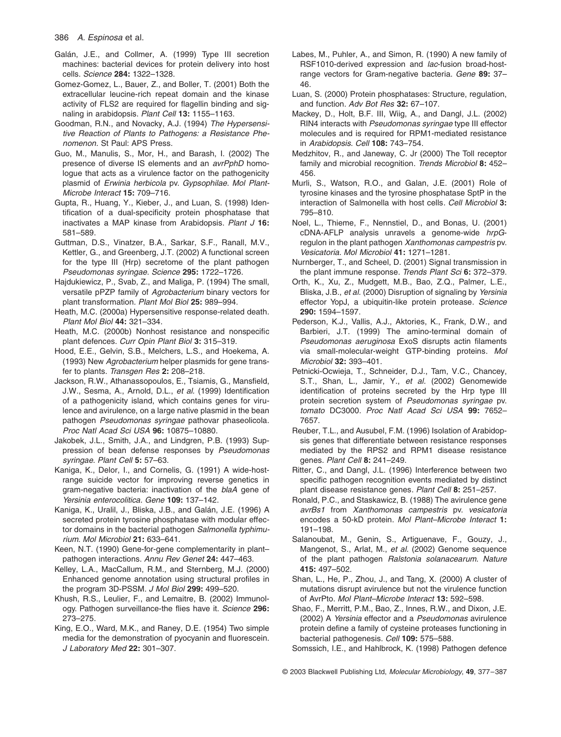- Galán, J.E., and Collmer, A. (1999) Type III secretion machines: bacterial devices for protein delivery into host cells. *Science* **284:** 1322–1328.
- Gomez-Gomez, L., Bauer, Z., and Boller, T. (2001) Both the extracellular leucine-rich repeat domain and the kinase activity of FLS2 are required for flagellin binding and signaling in arabidopsis. *Plant Cell* **13:** 1155–1163.
- Goodman, R.N., and Novacky, A.J. (1994) *The Hypersensitive Reaction of Plants to Pathogens: a Resistance Phenomenon.* St Paul: APS Press.
- Guo, M., Manulis, S., Mor, H., and Barash, I. (2002) The presence of diverse IS elements and an *avrPphD* homologue that acts as a virulence factor on the pathogenicity plasmid of *Erwinia herbicola* pv. *Gypsophilae*. *Mol Plant-Microbe Interact* **15:** 709–716.
- Gupta, R., Huang, Y., Kieber, J., and Luan, S. (1998) Identification of a dual-specificity protein phosphatase that inactivates a MAP kinase from Arabidopsis. *Plant J* **16:** 581–589.
- Guttman, D.S., Vinatzer, B.A., Sarkar, S.F., Ranall, M.V., Kettler, G., and Greenberg, J.T. (2002) A functional screen for the type III (Hrp) secretome of the plant pathogen *Pseudomonas syringae*. *Science* **295:** 1722–1726.
- Hajdukiewicz, P., Svab, Z., and Maliga, P. (1994) The small, versatile pPZP family of *Agrobacterium* binary vectors for plant transformation. *Plant Mol Biol* **25:** 989–994.
- Heath, M.C. (2000a) Hypersensitive response-related death. *Plant Mol Biol* **44:** 321–334.
- Heath, M.C. (2000b) Nonhost resistance and nonspecific plant defences. *Curr Opin Plant Biol* **3:** 315–319.
- Hood, E.E., Gelvin, S.B., Melchers, L.S., and Hoekema, A. (1993) New *Agrobacterium* helper plasmids for gene transfer to plants. *Transgen Res* **2:** 208–218.
- Jackson, R.W., Athanassopoulos, E., Tsiamis, G., Mansfield, J.W., Sesma, A., Arnold, D.L., *et al.* (1999) Identification of a pathogenicity island, which contains genes for virulence and avirulence, on a large native plasmid in the bean pathogen *Pseudomonas syringae* pathovar phaseolicola. *Proc Natl Acad Sci USA* **96:** 10875–10880.
- Jakobek, J.L., Smith, J.A., and Lindgren, P.B. (1993) Suppression of bean defense responses by *Pseudomonas syringae*. *Plant Cell* **5:** 57–63.
- Kaniga, K., Delor, I., and Cornelis, G. (1991) A wide-hostrange suicide vector for improving reverse genetics in gram-negative bacteria: inactivation of the *blaA* gene of *Yersinia enterocolitica*. *Gene* **109:** 137–142.
- Kaniga, K., Uralil, J., Bliska, J.B., and Galán, J.E. (1996) A secreted protein tyrosine phosphatase with modular effector domains in the bacterial pathogen *Salmonella typhimurium*. *Mol Microbiol* **21:** 633–641.
- Keen, N.T. (1990) Gene-for-gene complementarity in plant– pathogen interactions. *Annu Rev Genet* **24:** 447–463.
- Kelley, L.A., MacCallum, R.M., and Sternberg, M.J. (2000) Enhanced genome annotation using structural profiles in the program 3D-PSSM. *J Mol Biol* **299:** 499–520.
- Khush, R.S., Leulier, F., and Lemaitre, B. (2002) Immunology. Pathogen surveillance-the flies have it. *Science* **296:** 273–275.
- King, E.O., Ward, M.K., and Raney, D.E. (1954) Two simple media for the demonstration of pyocyanin and fluorescein. *J Laboratory Med* **22:** 301–307.
- Labes, M., Puhler, A., and Simon, R. (1990) A new family of RSF1010-derived expression and *lac*-fusion broad-hostrange vectors for Gram-negative bacteria. *Gene* **89:** 37– 46.
- Luan, S. (2000) Protein phosphatases: Structure, regulation, and function. *Adv Bot Res* **32:** 67–107.
- Mackey, D., Holt, B.F. III, Wiig, A., and Dangl, J.L. (2002) RIN4 interacts with *Pseudomonas syringae* type III effector molecules and is required for RPM1-mediated resistance in *Arabidopsis*. *Cell* **108:** 743–754.
- Medzhitov, R., and Janeway, C. Jr (2000) The Toll receptor family and microbial recognition. *Trends Microbiol* **8:** 452– 456.
- Murli, S., Watson, R.O., and Galan, J.E. (2001) Role of tyrosine kinases and the tyrosine phosphatase SptP in the interaction of Salmonella with host cells. *Cell Microbiol* **3:** 795–810.
- Noel, L., Thieme, F., Nennstiel, D., and Bonas, U. (2001) cDNA-AFLP analysis unravels a genome-wide *hrpG*regulon in the plant pathogen *Xanthomonas campestris* pv. *Vesicatoria*. *Mol Microbiol* **41:** 1271–1281.
- Nurnberger, T., and Scheel, D. (2001) Signal transmission in the plant immune response. *Trends Plant Sci* **6:** 372–379.
- Orth, K., Xu, Z., Mudgett, M.B., Bao, Z.Q., Palmer, L.E., Bliska, J.B., *et al.* (2000) Disruption of signaling by *Yersinia* effector YopJ, a ubiquitin-like protein protease. *Science* **290:** 1594–1597.
- Pederson, K.J., Vallis, A.J., Aktories, K., Frank, D.W., and Barbieri, J.T. (1999) The amino-terminal domain of *Pseudomonas aeruginosa* ExoS disrupts actin filaments via small-molecular-weight GTP-binding proteins. *Mol Microbiol* **32:** 393–401.
- Petnicki-Ocwieja, T., Schneider, D.J., Tam, V.C., Chancey, S.T., Shan, L., Jamir, Y., *et al.* (2002) Genomewide identification of proteins secreted by the Hrp type III protein secretion system of *Pseudomonas syringae* pv. *tomato* DC3000. *Proc Natl Acad Sci USA* **99:** 7652– 7657.
- Reuber, T.L., and Ausubel, F.M. (1996) Isolation of Arabidopsis genes that differentiate between resistance responses mediated by the RPS2 and RPM1 disease resistance genes. *Plant Cell* **8:** 241–249.
- Ritter, C., and Dangl, J.L. (1996) Interference between two specific pathogen recognition events mediated by distinct plant disease resistance genes. *Plant Cell* **8:** 251–257.
- Ronald, P.C., and Staskawicz, B. (1988) The avirulence gene *avrBs1* from *Xanthomonas campestris* pv. *vesicatoria* encodes a 50-kD protein. *Mol Plant–Microbe Interact* **1:** 191–198.
- Salanoubat, M., Genin, S., Artiguenave, F., Gouzy, J., Mangenot, S., Arlat, M., *et al.* (2002) Genome sequence of the plant pathogen *Ralstonia solanacearum*. *Nature* **415:** 497–502.
- Shan, L., He, P., Zhou, J., and Tang, X. (2000) A cluster of mutations disrupt avirulence but not the virulence function of AvrPto. *Mol Plant–Microbe Interact* **13:** 592–598.
- Shao, F., Merritt, P.M., Bao, Z., Innes, R.W., and Dixon, J.E. (2002) A *Yersinia* effector and a *Pseudomonas* avirulence protein define a family of cysteine proteases functioning in bacterial pathogenesis. *Cell* **109:** 575–588.

Somssich, I.E., and Hahlbrock, K. (1998) Pathogen defence